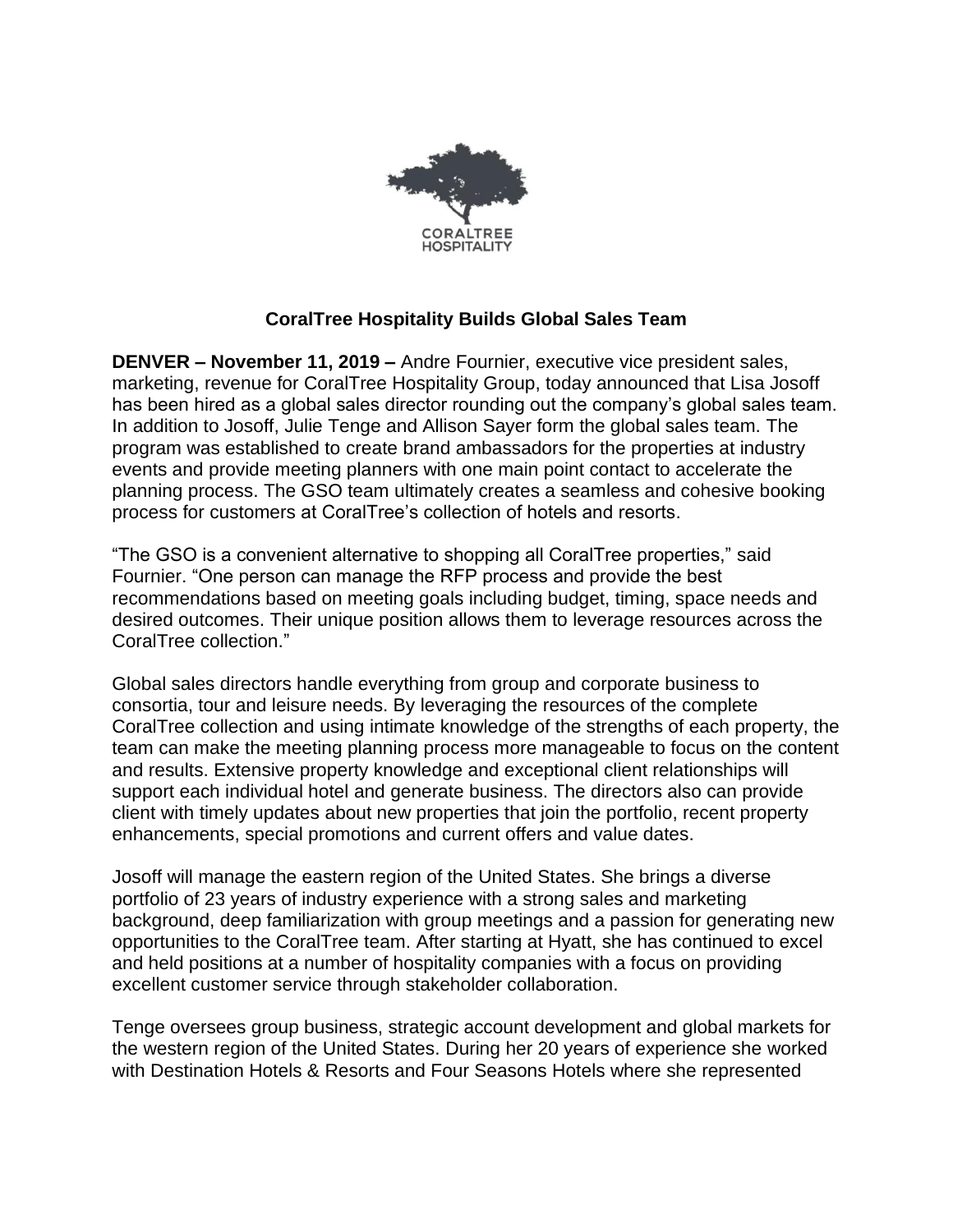

## **CoralTree Hospitality Builds Global Sales Team**

**DENVER – November 11, 2019 –** Andre Fournier, executive vice president sales, marketing, revenue for CoralTree Hospitality Group, today announced that Lisa Josoff has been hired as a global sales director rounding out the company's global sales team. In addition to Josoff, Julie Tenge and Allison Sayer form the global sales team. The program was established to create brand ambassadors for the properties at industry events and provide meeting planners with one main point contact to accelerate the planning process. The GSO team ultimately creates a seamless and cohesive booking process for customers at CoralTree's collection of hotels and resorts.

"The GSO is a convenient alternative to shopping all CoralTree properties," said Fournier. "One person can manage the RFP process and provide the best recommendations based on meeting goals including budget, timing, space needs and desired outcomes. Their unique position allows them to leverage resources across the CoralTree collection."

Global sales directors handle everything from group and corporate business to consortia, tour and leisure needs. By leveraging the resources of the complete CoralTree collection and using intimate knowledge of the strengths of each property, the team can make the meeting planning process more manageable to focus on the content and results. Extensive property knowledge and exceptional client relationships will support each individual hotel and generate business. The directors also can provide client with timely updates about new properties that join the portfolio, recent property enhancements, special promotions and current offers and value dates.

Josoff will manage the eastern region of the United States. She brings a diverse portfolio of 23 years of industry experience with a strong sales and marketing background, deep familiarization with group meetings and a passion for generating new opportunities to the CoralTree team. After starting at Hyatt, she has continued to excel and held positions at a number of hospitality companies with a focus on providing excellent customer service through stakeholder collaboration.

Tenge oversees group business, strategic account development and global markets for the western region of the United States. During her 20 years of experience she worked with Destination Hotels & Resorts and Four Seasons Hotels where she represented